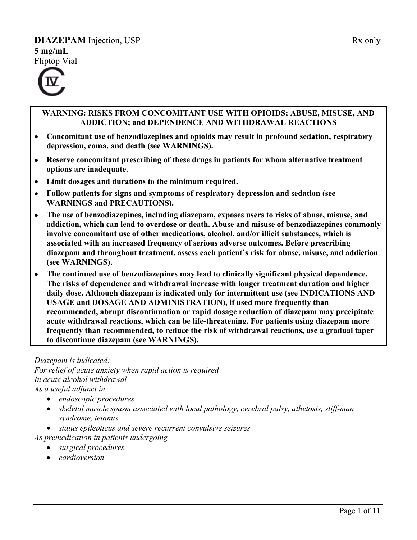# **DIAZEPAM** Injection, USP Rx only

Fliptop Vial



## **WARNING: RISKS FROM CONCOMITANT USE WITH OPIOIDS; ABUSE, MISUSE, AND ADDICTION; and DEPENDENCE AND WITHDRAWAL REACTIONS**

- **Concomitant use of benzodiazepines and opioids may result in profound sedation, respiratory depression, coma, and death (see WARNINGS).**
- **Reserve concomitant prescribing of these drugs in patients for whom alternative treatment options are inadequate.**
- **Limit dosages and durations to the minimum required.**
- **Follow patients for signs and symptoms of respiratory depression and sedation (see WARNINGS and PRECAUTIONS).**
- **The use of benzodiazepines, including diazepam, exposes users to risks of abuse, misuse, and addiction, which can lead to overdose or death. Abuse and misuse of benzodiazepines commonly involve concomitant use of other medications, alcohol, and/or illicit substances, which is associated with an increased frequency of serious adverse outcomes. Before prescribing diazepam and throughout treatment, assess each patient's risk for abuse, misuse, and addiction (see WARNINGS).**
- **The continued use of benzodiazepines may lead to clinically significant physical dependence. The risks of dependence and withdrawal increase with longer treatment duration and higher daily dose. Although diazepam is indicated only for intermittent use (see INDICATIONS AND USAGE and DOSAGE AND ADMINISTRATION), if used more frequently than recommended, abrupt discontinuation or rapid dosage reduction of diazepam may precipitate acute withdrawal reactions, which can be life-threatening. For patients using diazepam more frequently than recommended, to reduce the risk of withdrawal reactions, use a gradual taper to discontinue diazepam (see WARNINGS).**

*Diazepam is indicated: For relief of acute anxiety when rapid action is required In acute alcohol withdrawal As a useful adjunct in* 

- *endoscopic procedures*
- *skeletal muscle spasm associated with local pathology, cerebral palsy, athetosis, stiff-man syndrome, tetanus*
- *status epilepticus and severe recurrent convulsive seizures*
- *As premedication in patients undergoing*
	- *surgical procedures*
		- *cardioversion*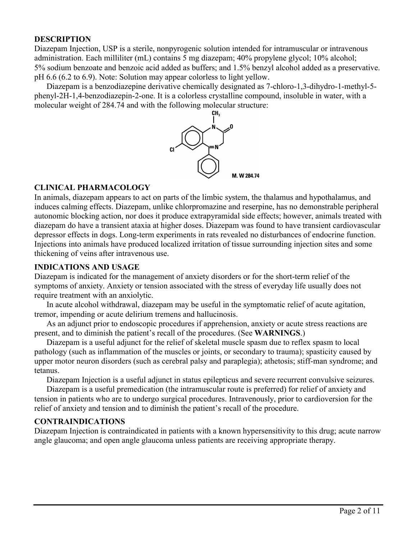### **DESCRIPTION**

Diazepam Injection, USP is a sterile, nonpyrogenic solution intended for intramuscular or intravenous administration. Each milliliter (mL) contains 5 mg diazepam; 40% propylene glycol; 10% alcohol; 5% sodium benzoate and benzoic acid added as buffers; and 1.5% benzyl alcohol added as a preservative. pH 6.6 (6.2 to 6.9). Note: Solution may appear colorless to light yellow.

Diazepam is a benzodiazepine derivative chemically designated as 7-chloro-1,3-dihydro-1-methyl-5 phenyl-2H-1,4-benzodiazepin-2-one. It is a colorless crystalline compound, insoluble in water, with a molecular weight of 284.74 and with the following molecular structure:



## **CLINICAL PHARMACOLOGY**

In animals, diazepam appears to act on parts of the limbic system, the thalamus and hypothalamus, and induces calming effects. Diazepam, unlike chlorpromazine and reserpine, has no demonstrable peripheral autonomic blocking action, nor does it produce extrapyramidal side effects; however, animals treated with diazepam do have a transient ataxia at higher doses. Diazepam was found to have transient cardiovascular depressor effects in dogs. Long-term experiments in rats revealed no disturbances of endocrine function. Injections into animals have produced localized irritation of tissue surrounding injection sites and some thickening of veins after intravenous use.

## **INDICATIONS AND USAGE**

Diazepam is indicated for the management of anxiety disorders or for the short-term relief of the symptoms of anxiety. Anxiety or tension associated with the stress of everyday life usually does not require treatment with an anxiolytic.

In acute alcohol withdrawal, diazepam may be useful in the symptomatic relief of acute agitation, tremor, impending or acute delirium tremens and hallucinosis.

As an adjunct prior to endoscopic procedures if apprehension, anxiety or acute stress reactions are present, and to diminish the patient's recall of the procedures. (See **WARNINGS**.)

Diazepam is a useful adjunct for the relief of skeletal muscle spasm due to reflex spasm to local pathology (such as inflammation of the muscles or joints, or secondary to trauma); spasticity caused by upper motor neuron disorders (such as cerebral palsy and paraplegia); athetosis; stiff-man syndrome; and tetanus.

Diazepam Injection is a useful adjunct in status epilepticus and severe recurrent convulsive seizures.

Diazepam is a useful premedication (the intramuscular route is preferred) for relief of anxiety and tension in patients who are to undergo surgical procedures. Intravenously, prior to cardioversion for the relief of anxiety and tension and to diminish the patient's recall of the procedure.

## **CONTRAINDICATIONS**

Diazepam Injection is contraindicated in patients with a known hypersensitivity to this drug; acute narrow angle glaucoma; and open angle glaucoma unless patients are receiving appropriate therapy.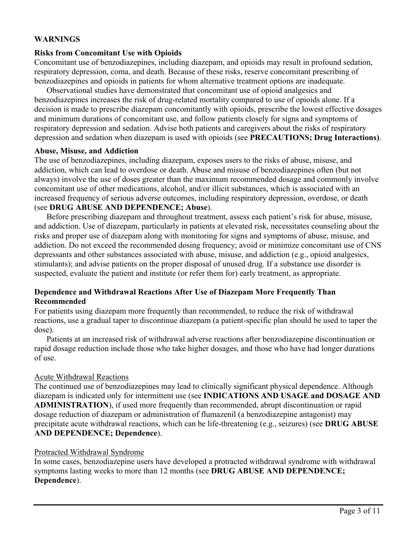## **WARNINGS**

#### **Risks from Concomitant Use with Opioids**

Concomitant use of benzodiazepines, including diazepam, and opioids may result in profound sedation, respiratory depression, coma, and death. Because of these risks, reserve concomitant prescribing of benzodiazepines and opioids in patients for whom alternative treatment options are inadequate.

Observational studies have demonstrated that concomitant use of opioid analgesics and benzodiazepines increases the risk of drug-related mortality compared to use of opioids alone. If a decision is made to prescribe diazepam concomitantly with opioids, prescribe the lowest effective dosages and minimum durations of concomitant use, and follow patients closely for signs and symptoms of respiratory depression and sedation. Advise both patients and caregivers about the risks of respiratory depression and sedation when diazepam is used with opioids (see **PRECAUTIONS; Drug Interactions)**.

#### **Abuse, Misuse, and Addiction**

The use of benzodiazepines, including diazepam, exposes users to the risks of abuse, misuse, and addiction, which can lead to overdose or death. Abuse and misuse of benzodiazepines often (but not always) involve the use of doses greater than the maximum recommended dosage and commonly involve concomitant use of other medications, alcohol, and/or illicit substances, which is associated with an increased frequency of serious adverse outcomes, including respiratory depression, overdose, or death (see **DRUG ABUSE AND DEPENDENCE; Abuse**).

Before prescribing diazepam and throughout treatment, assess each patient's risk for abuse, misuse, and addiction. Use of diazepam, particularly in patients at elevated risk, necessitates counseling about the risks and proper use of diazepam along with monitoring for signs and symptoms of abuse, misuse, and addiction. Do not exceed the recommended dosing frequency; avoid or minimize concomitant use of CNS depressants and other substances associated with abuse, misuse, and addiction (e.g., opioid analgesics, stimulants); and advise patients on the proper disposal of unused drug. If a substance use disorder is suspected, evaluate the patient and institute (or refer them for) early treatment, as appropriate.

## **Dependence and Withdrawal Reactions After Use of Diazepam More Frequently Than Recommended**

For patients using diazepam more frequently than recommended, to reduce the risk of withdrawal reactions, use a gradual taper to discontinue diazepam (a patient-specific plan should be used to taper the dose).

Patients at an increased risk of withdrawal adverse reactions after benzodiazepine discontinuation or rapid dosage reduction include those who take higher dosages, and those who have had longer durations of use.

#### Acute Withdrawal Reactions

The continued use of benzodiazepines may lead to clinically significant physical dependence. Although diazepam is indicated only for intermittent use (see **INDICATIONS AND USAGE and DOSAGE AND ADMINISTRATION**), if used more frequently than recommended, abrupt discontinuation or rapid dosage reduction of diazepam or administration of flumazenil (a benzodiazepine antagonist) may precipitate acute withdrawal reactions, which can be life-threatening (e.g., seizures) (see **DRUG ABUSE AND DEPENDENCE; Dependence**).

#### Protracted Withdrawal Syndrome

In some cases, benzodiazepine users have developed a protracted withdrawal syndrome with withdrawal symptoms lasting weeks to more than 12 months (see **DRUG ABUSE AND DEPENDENCE; Dependence**).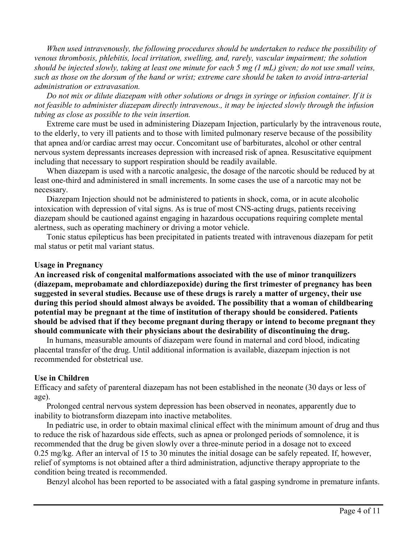*When used intravenously, the following procedures should be undertaken to reduce the possibility of venous thrombosis, phlebitis, local irritation, swelling, and, rarely, vascular impairment; the solution should be injected slowly, taking at least one minute for each 5 mg (1 mL) given; do not use small veins, such as those on the dorsum of the hand or wrist; extreme care should be taken to avoid intra-arterial administration or extravasation.*

*Do not mix or dilute diazepam with other solutions or drugs in syringe or infusion container. If it is not feasible to administer diazepam directly intravenous., it may be injected slowly through the infusion tubing as close as possible to the vein insertion.*

Extreme care must be used in administering Diazepam Injection, particularly by the intravenous route, to the elderly, to very ill patients and to those with limited pulmonary reserve because of the possibility that apnea and/or cardiac arrest may occur. Concomitant use of barbiturates, alcohol or other central nervous system depressants increases depression with increased risk of apnea. Resuscitative equipment including that necessary to support respiration should be readily available.

When diazepam is used with a narcotic analgesic, the dosage of the narcotic should be reduced by at least one-third and administered in small increments. In some cases the use of a narcotic may not be necessary.

Diazepam Injection should not be administered to patients in shock, coma, or in acute alcoholic intoxication with depression of vital signs. As is true of most CNS-acting drugs, patients receiving diazepam should be cautioned against engaging in hazardous occupations requiring complete mental alertness, such as operating machinery or driving a motor vehicle.

Tonic status epilepticus has been precipitated in patients treated with intravenous diazepam for petit mal status or petit mal variant status.

#### **Usage in Pregnancy**

**An increased risk of congenital malformations associated with the use of minor tranquilizers (diazepam, meprobamate and chlordiazepoxide) during the first trimester of pregnancy has been suggested in several studies. Because use of these drugs is rarely a matter of urgency, their use during this period should almost always be avoided. The possibility that a woman of childbearing potential may be pregnant at the time of institution of therapy should be considered. Patients should be advised that if they become pregnant during therapy or intend to become pregnant they should communicate with their physicians about the desirability of discontinuing the drug.**

In humans, measurable amounts of diazepam were found in maternal and cord blood, indicating placental transfer of the drug. Until additional information is available, diazepam injection is not recommended for obstetrical use.

#### **Use in Children**

Efficacy and safety of parenteral diazepam has not been established in the neonate (30 days or less of age).

Prolonged central nervous system depression has been observed in neonates, apparently due to inability to biotransform diazepam into inactive metabolites.

In pediatric use, in order to obtain maximal clinical effect with the minimum amount of drug and thus to reduce the risk of hazardous side effects, such as apnea or prolonged periods of somnolence, it is recommended that the drug be given slowly over a three-minute period in a dosage not to exceed 0.25 mg/kg. After an interval of 15 to 30 minutes the initial dosage can be safely repeated. If, however, relief of symptoms is not obtained after a third administration, adjunctive therapy appropriate to the condition being treated is recommended.

Benzyl alcohol has been reported to be associated with a fatal gasping syndrome in premature infants.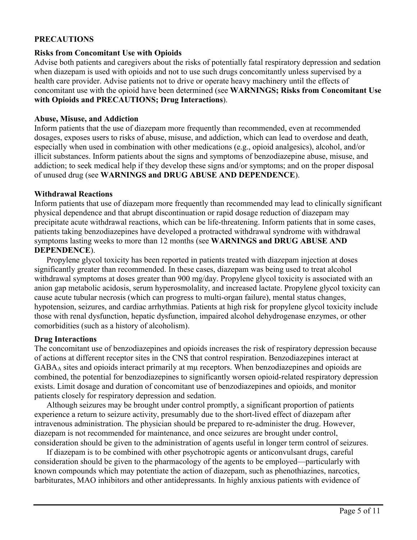## **PRECAUTIONS**

#### **Risks from Concomitant Use with Opioids**

Advise both patients and caregivers about the risks of potentially fatal respiratory depression and sedation when diazepam is used with opioids and not to use such drugs concomitantly unless supervised by a health care provider. Advise patients not to drive or operate heavy machinery until the effects of concomitant use with the opioid have been determined (see **WARNINGS; Risks from Concomitant Use with Opioids and PRECAUTIONS; Drug Interactions**).

#### **Abuse, Misuse, and Addiction**

Inform patients that the use of diazepam more frequently than recommended, even at recommended dosages, exposes users to risks of abuse, misuse, and addiction, which can lead to overdose and death, especially when used in combination with other medications (e.g., opioid analgesics), alcohol, and/or illicit substances. Inform patients about the signs and symptoms of benzodiazepine abuse, misuse, and addiction; to seek medical help if they develop these signs and/or symptoms; and on the proper disposal of unused drug (see **WARNINGS and DRUG ABUSE AND DEPENDENCE**).

#### **Withdrawal Reactions**

Inform patients that use of diazepam more frequently than recommended may lead to clinically significant physical dependence and that abrupt discontinuation or rapid dosage reduction of diazepam may precipitate acute withdrawal reactions, which can be life-threatening. Inform patients that in some cases, patients taking benzodiazepines have developed a protracted withdrawal syndrome with withdrawal symptoms lasting weeks to more than 12 months (see **WARNINGS and DRUG ABUSE AND DEPENDENCE**).

Propylene glycol toxicity has been reported in patients treated with diazepam injection at doses significantly greater than recommended. In these cases, diazepam was being used to treat alcohol withdrawal symptoms at doses greater than 900 mg/day. Propylene glycol toxicity is associated with an anion gap metabolic acidosis, serum hyperosmolality, and increased lactate. Propylene glycol toxicity can cause acute tubular necrosis (which can progress to multi-organ failure), mental status changes, hypotension, seizures, and cardiac arrhythmias. Patients at high risk for propylene glycol toxicity include those with renal dysfunction, hepatic dysfunction, impaired alcohol dehydrogenase enzymes, or other comorbidities (such as a history of alcoholism).

#### **Drug Interactions**

The concomitant use of benzodiazepines and opioids increases the risk of respiratory depression because of actions at different receptor sites in the CNS that control respiration. Benzodiazepines interact at GABA<sup>A</sup> sites and opioids interact primarily at mµ receptors. When benzodiazepines and opioids are combined, the potential for benzodiazepines to significantly worsen opioid-related respiratory depression exists. Limit dosage and duration of concomitant use of benzodiazepines and opioids, and monitor patients closely for respiratory depression and sedation.

Although seizures may be brought under control promptly, a significant proportion of patients experience a return to seizure activity, presumably due to the short-lived effect of diazepam after intravenous administration. The physician should be prepared to re-administer the drug. However, diazepam is not recommended for maintenance, and once seizures are brought under control, consideration should be given to the administration of agents useful in longer term control of seizures.

If diazepam is to be combined with other psychotropic agents or anticonvulsant drugs, careful consideration should be given to the pharmacology of the agents to be employed—particularly with known compounds which may potentiate the action of diazepam, such as phenothiazines, narcotics, barbiturates, MAO inhibitors and other antidepressants. In highly anxious patients with evidence of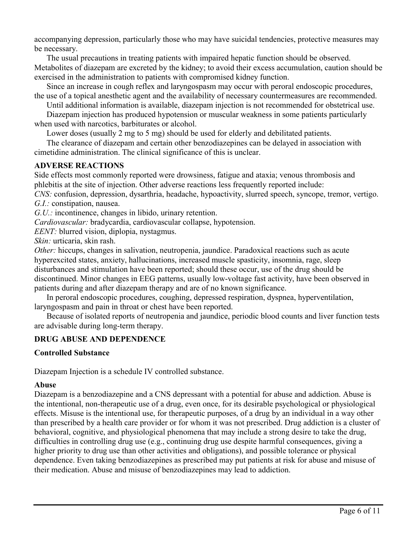accompanying depression, particularly those who may have suicidal tendencies, protective measures may be necessary.

The usual precautions in treating patients with impaired hepatic function should be observed. Metabolites of diazepam are excreted by the kidney; to avoid their excess accumulation, caution should be exercised in the administration to patients with compromised kidney function.

Since an increase in cough reflex and laryngospasm may occur with peroral endoscopic procedures, the use of a topical anesthetic agent and the availability of necessary countermeasures are recommended.

Until additional information is available, diazepam injection is not recommended for obstetrical use.

Diazepam injection has produced hypotension or muscular weakness in some patients particularly when used with narcotics, barbiturates or alcohol.

Lower doses (usually 2 mg to 5 mg) should be used for elderly and debilitated patients.

The clearance of diazepam and certain other benzodiazepines can be delayed in association with cimetidine administration. The clinical significance of this is unclear.

## **ADVERSE REACTIONS**

Side effects most commonly reported were drowsiness, fatigue and ataxia; venous thrombosis and phlebitis at the site of injection. Other adverse reactions less frequently reported include:

*CNS:* confusion, depression, dysarthria, headache, hypoactivity, slurred speech, syncope, tremor, vertigo. *G.I.:* constipation, nausea.

*G.U.:* incontinence, changes in libido, urinary retention.

*Cardiovascular:* bradycardia, cardiovascular collapse, hypotension.

*EENT*: blurred vision, diplopia, nystagmus.

*Skin:* urticaria, skin rash.

*Other:* hiccups, changes in salivation, neutropenia, jaundice. Paradoxical reactions such as acute hyperexcited states, anxiety, hallucinations, increased muscle spasticity, insomnia, rage, sleep disturbances and stimulation have been reported; should these occur, use of the drug should be discontinued. Minor changes in EEG patterns, usually low-voltage fast activity, have been observed in patients during and after diazepam therapy and are of no known significance.

In peroral endoscopic procedures, coughing, depressed respiration, dyspnea, hyperventilation, laryngospasm and pain in throat or chest have been reported.

Because of isolated reports of neutropenia and jaundice, periodic blood counts and liver function tests are advisable during long-term therapy.

## **DRUG ABUSE AND DEPENDENCE**

## **Controlled Substance**

Diazepam Injection is a schedule IV controlled substance.

## **Abuse**

Diazepam is a benzodiazepine and a CNS depressant with a potential for abuse and addiction. Abuse is the intentional, non-therapeutic use of a drug, even once, for its desirable psychological or physiological effects. Misuse is the intentional use, for therapeutic purposes, of a drug by an individual in a way other than prescribed by a health care provider or for whom it was not prescribed. Drug addiction is a cluster of behavioral, cognitive, and physiological phenomena that may include a strong desire to take the drug, difficulties in controlling drug use (e.g., continuing drug use despite harmful consequences, giving a higher priority to drug use than other activities and obligations), and possible tolerance or physical dependence. Even taking benzodiazepines as prescribed may put patients at risk for abuse and misuse of their medication. Abuse and misuse of benzodiazepines may lead to addiction.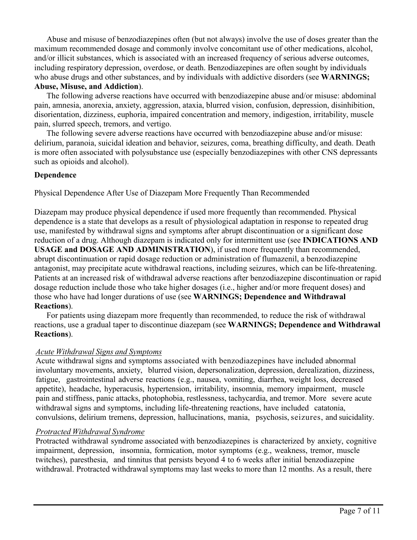Abuse and misuse of benzodiazepines often (but not always) involve the use of doses greater than the maximum recommended dosage and commonly involve concomitant use of other medications, alcohol, and/or illicit substances, which is associated with an increased frequency of serious adverse outcomes, including respiratory depression, overdose, or death. Benzodiazepines are often sought by individuals who abuse drugs and other substances, and by individuals with addictive disorders (see **WARNINGS; Abuse, Misuse, and Addiction**).

The following adverse reactions have occurred with benzodiazepine abuse and/or misuse: abdominal pain, amnesia, anorexia, anxiety, aggression, ataxia, blurred vision, confusion, depression, disinhibition, disorientation, dizziness, euphoria, impaired concentration and memory, indigestion, irritability, muscle pain, slurred speech, tremors, and vertigo.

The following severe adverse reactions have occurred with benzodiazepine abuse and/or misuse: delirium, paranoia, suicidal ideation and behavior, seizures, coma, breathing difficulty, and death. Death is more often associated with polysubstance use (especially benzodiazepines with other CNS depressants such as opioids and alcohol).

#### **Dependence**

Physical Dependence After Use of Diazepam More Frequently Than Recommended

Diazepam may produce physical dependence if used more frequently than recommended. Physical dependence is a state that develops as a result of physiological adaptation in response to repeated drug use, manifested by withdrawal signs and symptoms after abrupt discontinuation or a significant dose reduction of a drug. Although diazepam is indicated only for intermittent use (see **INDICATIONS AND USAGE and DOSAGE AND ADMINISTRATION**), if used more frequently than recommended, abrupt discontinuation or rapid dosage reduction or administration of flumazenil, a benzodiazepine antagonist, may precipitate acute withdrawal reactions, including seizures, which can be life-threatening. Patients at an increased risk of withdrawal adverse reactions after benzodiazepine discontinuation or rapid dosage reduction include those who take higher dosages (i.e., higher and/or more frequent doses) and those who have had longer durations of use (see **WARNINGS; Dependence and Withdrawal Reactions**).

For patients using diazepam more frequently than recommended, to reduce the risk of withdrawal reactions, use a gradual taper to discontinue diazepam (see **WARNINGS; Dependence and Withdrawal Reactions**).

#### *Acute Withdrawal Signs and Symptoms*

Acute withdrawal signs and symptoms associated with benzodiazepines have included abnormal involuntary movements, anxiety, blurred vision, depersonalization, depression, derealization, dizziness, fatigue, gastrointestinal adverse reactions (e.g., nausea, vomiting, diarrhea, weight loss, decreased appetite), headache, hyperacusis, hypertension, irritability, insomnia, memory impairment, muscle pain and stiffness, panic attacks, photophobia, restlessness, tachycardia, and tremor. More severe acute withdrawal signs and symptoms, including life-threatening reactions, have included catatonia, convulsions, delirium tremens, depression, hallucinations, mania, psychosis, seizures, and suicidality.

#### *Protracted Withdrawal Syndrome*

Protracted withdrawal syndrome associated with benzodiazepines is characterized by anxiety, cognitive impairment, depression, insomnia, formication, motor symptoms (e.g., weakness, tremor, muscle twitches), paresthesia, and tinnitus that persists beyond 4 to 6 weeks after initial benzodiazepine withdrawal. Protracted withdrawal symptoms may last weeks to more than 12 months. As a result, there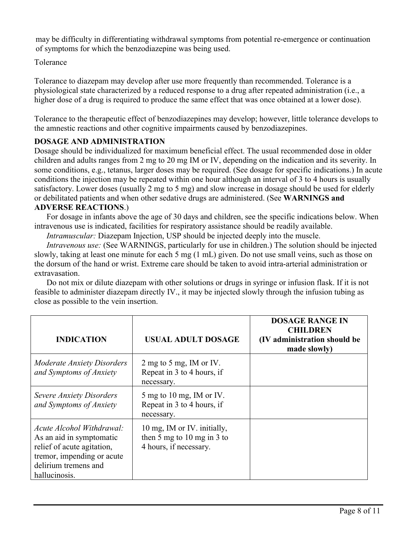may be difficulty in differentiating withdrawal symptoms from potential re-emergence or continuation of symptoms for which the benzodiazepine was being used.

Tolerance

Tolerance to diazepam may develop after use more frequently than recommended. Tolerance is a physiological state characterized by a reduced response to a drug after repeated administration (i.e., a higher dose of a drug is required to produce the same effect that was once obtained at a lower dose).

Tolerance to the therapeutic effect of benzodiazepines may develop; however, little tolerance develops to the amnestic reactions and other cognitive impairments caused by benzodiazepines.

## **DOSAGE AND ADMINISTRATION**

Dosage should be individualized for maximum beneficial effect. The usual recommended dose in older children and adults ranges from 2 mg to 20 mg IM or IV, depending on the indication and its severity. In some conditions, e.g., tetanus, larger doses may be required. (See dosage for specific indications.) In acute conditions the injection may be repeated within one hour although an interval of 3 to 4 hours is usually satisfactory. Lower doses (usually 2 mg to 5 mg) and slow increase in dosage should be used for elderly or debilitated patients and when other sedative drugs are administered. (See **WARNINGS and** 

## **ADVERSE REACTIONS**.)

For dosage in infants above the age of 30 days and children, see the specific indications below. When intravenous use is indicated, facilities for respiratory assistance should be readily available.

*Intramuscular:* Diazepam Injection, USP should be injected deeply into the muscle.

*Intravenous use:* (See WARNINGS, particularly for use in children.) The solution should be injected slowly, taking at least one minute for each 5 mg (1 mL) given. Do not use small veins, such as those on the dorsum of the hand or wrist. Extreme care should be taken to avoid intra-arterial administration or extravasation.

Do not mix or dilute diazepam with other solutions or drugs in syringe or infusion flask. If it is not feasible to administer diazepam directly IV., it may be injected slowly through the infusion tubing as close as possible to the vein insertion.

| <b>INDICATION</b>                                                                                                                                          | <b>USUAL ADULT DOSAGE</b>                                                                                         | <b>DOSAGE RANGE IN</b><br><b>CHILDREN</b><br>(IV administration should be<br>made slowly) |
|------------------------------------------------------------------------------------------------------------------------------------------------------------|-------------------------------------------------------------------------------------------------------------------|-------------------------------------------------------------------------------------------|
| <i>Moderate Anxiety Disorders</i><br>and Symptoms of Anxiety                                                                                               | 2 mg to 5 mg, IM or IV.<br>Repeat in 3 to 4 hours, if<br>necessary.                                               |                                                                                           |
| <b>Severe Anxiety Disorders</b><br>and Symptoms of Anxiety                                                                                                 | $5 \text{ mg}$ to $10 \text{ mg}$ , IM or IV.<br>Repeat in 3 to 4 hours, if<br>necessary.                         |                                                                                           |
| Acute Alcohol Withdrawal:<br>As an aid in symptomatic<br>relief of acute agitation,<br>tremor, impending or acute<br>delirium tremens and<br>hallucinosis. | 10 mg, IM or IV. initially,<br>then $5 \text{ mg}$ to $10 \text{ mg}$ in $3 \text{ to}$<br>4 hours, if necessary. |                                                                                           |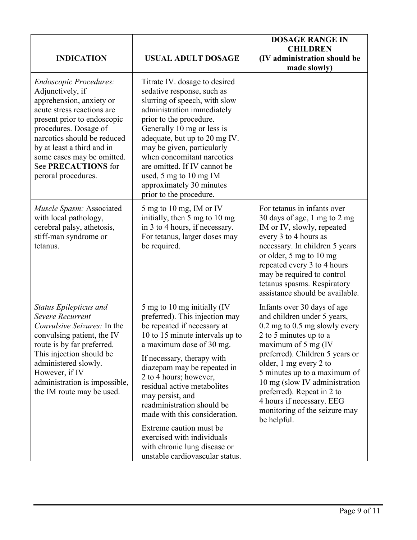| <b>INDICATION</b>                                                                                                                                                                                                                                                                                            | <b>USUAL ADULT DOSAGE</b>                                                                                                                                                                                                                                                                                                                                                                                                                                                                           | <b>DOSAGE RANGE IN</b><br><b>CHILDREN</b><br>(IV administration should be<br>made slowly)                                                                                                                                                                                                                                                                                                        |
|--------------------------------------------------------------------------------------------------------------------------------------------------------------------------------------------------------------------------------------------------------------------------------------------------------------|-----------------------------------------------------------------------------------------------------------------------------------------------------------------------------------------------------------------------------------------------------------------------------------------------------------------------------------------------------------------------------------------------------------------------------------------------------------------------------------------------------|--------------------------------------------------------------------------------------------------------------------------------------------------------------------------------------------------------------------------------------------------------------------------------------------------------------------------------------------------------------------------------------------------|
| <b>Endoscopic Procedures:</b><br>Adjunctively, if<br>apprehension, anxiety or<br>acute stress reactions are<br>present prior to endoscopic<br>procedures. Dosage of<br>narcotics should be reduced<br>by at least a third and in<br>some cases may be omitted.<br>See PRECAUTIONS for<br>peroral procedures. | Titrate IV. dosage to desired<br>sedative response, such as<br>slurring of speech, with slow<br>administration immediately<br>prior to the procedure.<br>Generally 10 mg or less is<br>adequate, but up to 20 mg IV.<br>may be given, particularly<br>when concomitant narcotics<br>are omitted. If IV cannot be<br>used, 5 mg to 10 mg IM<br>approximately 30 minutes<br>prior to the procedure.                                                                                                   |                                                                                                                                                                                                                                                                                                                                                                                                  |
| Muscle Spasm: Associated<br>with local pathology,<br>cerebral palsy, athetosis,<br>stiff-man syndrome or<br>tetanus.                                                                                                                                                                                         | 5 mg to 10 mg, IM or IV<br>initially, then 5 mg to 10 mg<br>in 3 to 4 hours, if necessary.<br>For tetanus, larger doses may<br>be required.                                                                                                                                                                                                                                                                                                                                                         | For tetanus in infants over<br>30 days of age, 1 mg to 2 mg<br>IM or IV, slowly, repeated<br>every 3 to 4 hours as<br>necessary. In children 5 years<br>or older, 5 mg to 10 mg<br>repeated every 3 to 4 hours<br>may be required to control<br>tetanus spasms. Respiratory<br>assistance should be available.                                                                                   |
| Status Epilepticus and<br>Severe Recurrent<br>Convulsive Seizures: In the<br>convulsing patient, the IV<br>route is by far preferred.<br>This injection should be<br>administered slowly.<br>However, if IV<br>administration is impossible,<br>the IM route may be used.                                    | 5 mg to 10 mg initially $(IV)$<br>preferred). This injection may<br>be repeated if necessary at<br>10 to 15 minute intervals up to<br>a maximum dose of 30 mg.<br>If necessary, therapy with<br>diazepam may be repeated in<br>2 to 4 hours; however,<br>residual active metabolites<br>may persist, and<br>readministration should be<br>made with this consideration.<br>Extreme caution must be<br>exercised with individuals<br>with chronic lung disease or<br>unstable cardiovascular status. | Infants over 30 days of age<br>and children under 5 years,<br>0.2 mg to 0.5 mg slowly every<br>2 to 5 minutes up to a<br>maximum of $5 \text{ mg (IV)}$<br>preferred). Children 5 years or<br>older, 1 mg every 2 to<br>5 minutes up to a maximum of<br>10 mg (slow IV administration<br>preferred). Repeat in 2 to<br>4 hours if necessary. EEG<br>monitoring of the seizure may<br>be helpful. |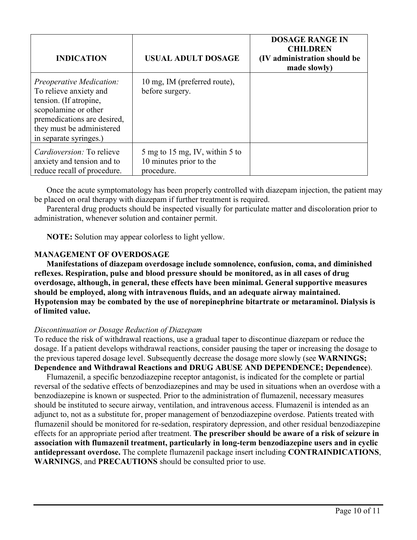| <b>INDICATION</b>                                                                                                                                                                                 | <b>USUAL ADULT DOSAGE</b>                                               | <b>DOSAGE RANGE IN</b><br><b>CHILDREN</b><br>(IV administration should be<br>made slowly) |
|---------------------------------------------------------------------------------------------------------------------------------------------------------------------------------------------------|-------------------------------------------------------------------------|-------------------------------------------------------------------------------------------|
| <b>Preoperative Medication:</b><br>To relieve anxiety and<br>tension. (If atropine,<br>scopolamine or other<br>premedications are desired,<br>they must be administered<br>in separate syringes.) | 10 mg, IM (preferred route),<br>before surgery.                         |                                                                                           |
| <i>Cardioversion:</i> To relieve<br>anxiety and tension and to<br>reduce recall of procedure.                                                                                                     | 5 mg to 15 mg, IV, within 5 to<br>10 minutes prior to the<br>procedure. |                                                                                           |

Once the acute symptomatology has been properly controlled with diazepam injection, the patient may be placed on oral therapy with diazepam if further treatment is required.

Parenteral drug products should be inspected visually for particulate matter and discoloration prior to administration, whenever solution and container permit.

**NOTE:** Solution may appear colorless to light yellow.

#### **MANAGEMENT OF OVERDOSAGE**

**Manifestations of diazepam overdosage include somnolence, confusion, coma, and diminished reflexes. Respiration, pulse and blood pressure should be monitored, as in all cases of drug overdosage, although, in general, these effects have been minimal. General supportive measures should be employed, along with intravenous fluids, and an adequate airway maintained. Hypotension may be combated by the use of norepinephrine bitartrate or metaraminol. Dialysis is of limited value.**

#### *Discontinuation or Dosage Reduction of Diazepam*

To reduce the risk of withdrawal reactions, use a gradual taper to discontinue diazepam or reduce the dosage. If a patient develops withdrawal reactions, consider pausing the taper or increasing the dosage to the previous tapered dosage level. Subsequently decrease the dosage more slowly (see **WARNINGS; Dependence and Withdrawal Reactions and DRUG ABUSE AND DEPENDENCE; Dependence**).

Flumazenil, a specific benzodiazepine receptor antagonist, is indicated for the complete or partial reversal of the sedative effects of benzodiazepines and may be used in situations when an overdose with a benzodiazepine is known or suspected. Prior to the administration of flumazenil, necessary measures should be instituted to secure airway, ventilation, and intravenous access. Flumazenil is intended as an adjunct to, not as a substitute for, proper management of benzodiazepine overdose. Patients treated with flumazenil should be monitored for re-sedation, respiratory depression, and other residual benzodiazepine effects for an appropriate period after treatment. **The prescriber should be aware of a risk of seizure in association with flumazenil treatment, particularly in long-term benzodiazepine users and in cyclic antidepressant overdose.** The complete flumazenil package insert including **CONTRAINDICATIONS**, **WARNINGS**, and **PRECAUTIONS** should be consulted prior to use.